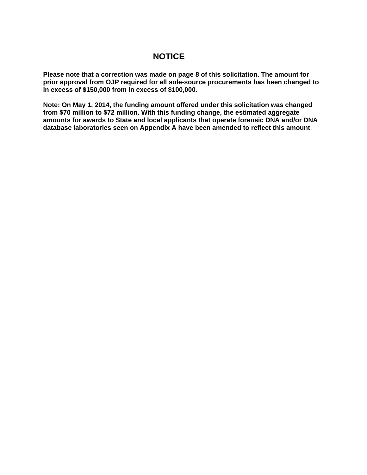# **NOTICE**

**Please note that a correction was made on page 8 of this solicitation. The amount for prior approval from OJP required for all sole-source procurements has been changed to in excess of \$150,000 from in excess of \$100,000.**

**Note: On May 1, 2014, the funding amount offered under this solicitation was changed from \$70 million to \$72 million. With this funding change, the estimated aggregate amounts for awards to State and local applicants that operate forensic DNA and/or DNA database laboratories seen on Appendix A have been amended to reflect this amount**.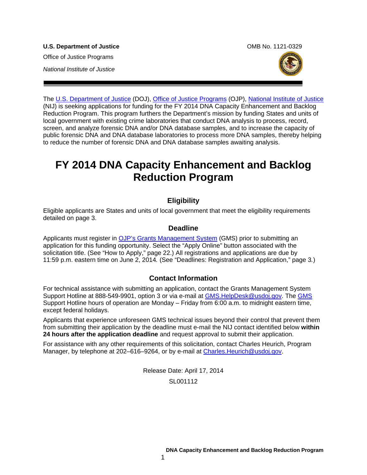**U.S. Department of Justice Combine Accord Combine Combine Combine Combine Combine Combine Combine Combine Combine Combine Combine Combine Combine Combine Combine Combine Combine Combine Combine Combine Combine Combine Com** Office of Justice Programs *National Institute of Justice*



The [U.S. Department of Justice](http://www.usdoj.gov/) (DOJ), [Office of Justice Programs](http://www.ojp.gov/flash.htm) (OJP), [National Institute of Justice](http://www.nij.gov/) (NIJ) is seeking applications for funding for the FY 2014 DNA Capacity Enhancement and Backlog Reduction Program. This program furthers the Department's mission by funding States and units of local government with existing crime laboratories that conduct DNA analysis to process, record, screen, and analyze forensic DNA and/or DNA database samples, and to increase the capacity of public forensic DNA and DNA database laboratories to process more DNA samples, thereby helping to reduce the number of forensic DNA and DNA database samples awaiting analysis.

# **FY 2014 DNA Capacity Enhancement and Backlog Reduction Program**

# **Eligibility**

Eligible applicants are States and units of local government that meet the eligibility requirements detailed on page 3.

# **Deadline**

Applicants must register in [OJP's Grants Management System](https://grants.ojp.usdoj.gov/) (GMS) prior to submitting an application for this funding opportunity. Select the "Apply Online" button associated with the solicitation title. (See "How to Apply," page 22.) All registrations and applications are due by 11:59 p.m. eastern time on June 2, 2014*.* (See "Deadlines: Registration and Application," page 3*.*)

# **Contact Information**

For technical assistance with submitting an application, contact the Grants Management System Support Hotline at 888-549-9901, option 3 or via e-mail at [GMS.HelpDesk@usdoj.gov.](mailto:GMS.HelpDesk@usdoj.gov) The [GMS](https://grants.ojp.usdoj.gov/) Support Hotline hours of operation are Monday – Friday from 6:00 a.m. to midnight eastern time, except federal holidays.

Applicants that experience unforeseen GMS technical issues beyond their control that prevent them from submitting their application by the deadline must e-mail the NIJ contact identified below **within 24 hours after the application deadline** and request approval to submit their application.

For assistance with any other requirements of this solicitation, contact Charles Heurich, Program Manager, by telephone at 202–616–9264, or by e-mail at Charles. Heurich@usdoj.gov.

> Release Date: April 17, 2014 SL001112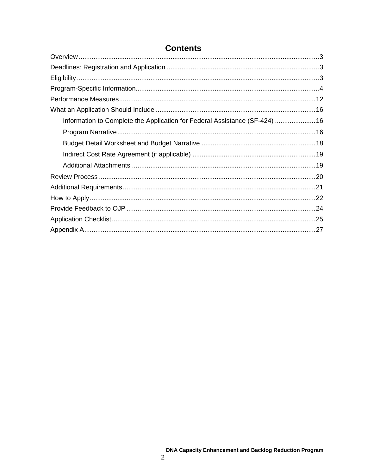| Information to Complete the Application for Federal Assistance (SF-424)  16 |  |
|-----------------------------------------------------------------------------|--|
|                                                                             |  |
|                                                                             |  |
|                                                                             |  |
|                                                                             |  |
|                                                                             |  |
|                                                                             |  |
|                                                                             |  |
|                                                                             |  |
|                                                                             |  |
|                                                                             |  |

# **Contents**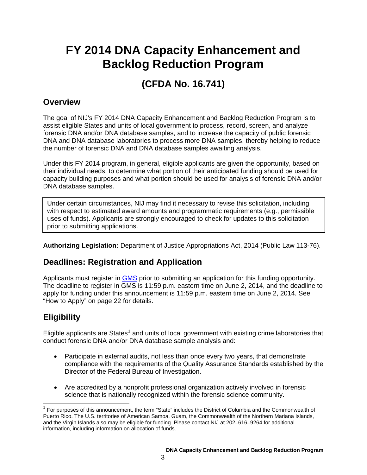# **FY 2014 DNA Capacity Enhancement and Backlog Reduction Program**

# **(CFDA No. 16.741)**

# <span id="page-3-0"></span>**Overview**

The goal of NIJ's FY 2014 DNA Capacity Enhancement and Backlog Reduction Program is to assist eligible States and units of local government to process, record, screen, and analyze forensic DNA and/or DNA database samples, and to increase the capacity of public forensic DNA and DNA database laboratories to process more DNA samples, thereby helping to reduce the number of forensic DNA and DNA database samples awaiting analysis.

Under this FY 2014 program, in general, eligible applicants are given the opportunity, based on their individual needs, to determine what portion of their anticipated funding should be used for capacity building purposes and what portion should be used for analysis of forensic DNA and/or DNA database samples.

Under certain circumstances, NIJ may find it necessary to revise this solicitation, including with respect to estimated award amounts and programmatic requirements (e.g., permissible uses of funds). Applicants are strongly encouraged to check for updates to this solicitation prior to submitting applications.

<span id="page-3-1"></span>**Authorizing Legislation:** Department of Justice Appropriations Act, 2014 (Public Law 113-76).

# **Deadlines: Registration and Application**

Applicants must register in [GMS](https://grants.ojp.usdoj.gov/) prior to submitting an application for this funding opportunity. The deadline to register in GMS is 11:59 p.m. eastern time on June 2, 2014, and the deadline to apply for funding under this announcement is 11:59 p.m. eastern time on June 2, 2014*.* See "How to Apply" on page 22 for details.

# <span id="page-3-2"></span>**Eligibility**

Eligible applicants are States<sup>[1](#page-3-3)</sup> and units of local government with existing crime laboratories that conduct forensic DNA and/or DNA database sample analysis and:

- Participate in external audits, not less than once every two years, that demonstrate compliance with the requirements of the Quality Assurance Standards established by the Director of the Federal Bureau of Investigation.
- Are accredited by a nonprofit professional organization actively involved in forensic science that is nationally recognized within the forensic science community.

<span id="page-3-3"></span> <sup>1</sup> For purposes of this announcement, the term "State" includes the District of Columbia and the Commonwealth of Puerto Rico. The U.S. territories of American Samoa, Guam, the Commonwealth of the Northern Mariana Islands, and the Virgin Islands also may be eligible for funding. Please contact NIJ at 202–616–9264 for additional information, including information on allocation of funds.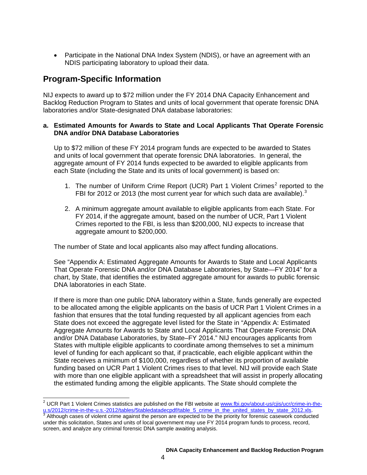• Participate in the National DNA Index System (NDIS), or have an agreement with an NDIS participating laboratory to upload their data.

# <span id="page-4-0"></span>**Program-Specific Information**

NIJ expects to award up to \$72 million under the FY 2014 DNA Capacity Enhancement and Backlog Reduction Program to States and units of local government that operate forensic DNA laboratories and/or State-designated DNA database laboratories:

# **a. Estimated Amounts for Awards to State and Local Applicants That Operate Forensic DNA and/or DNA Database Laboratories**

Up to \$72 million of these FY 2014 program funds are expected to be awarded to States and units of local government that operate forensic DNA laboratories. In general, the aggregate amount of FY 2014 funds expected to be awarded to eligible applicants from each State (including the State and its units of local government) is based on:

- 1. The number of Uniform Crime Report (UCR) Part 1 Violent Crimes<sup>[2](#page-4-1)</sup> reported to the FBI for 2012 or 201[3](#page-4-2) (the most current year for which such data are available).<sup>3</sup>
- 2. A minimum aggregate amount available to eligible applicants from each State. For FY 2014, if the aggregate amount, based on the number of UCR, Part 1 Violent Crimes reported to the FBI, is less than \$200,000, NIJ expects to increase that aggregate amount to \$200,000.

The number of State and local applicants also may affect funding allocations.

See "Appendix A: Estimated Aggregate Amounts for Awards to State and Local Applicants That Operate Forensic DNA and/or DNA Database Laboratories, by State—FY 2014" for a chart, by State, that identifies the estimated aggregate amount for awards to public forensic DNA laboratories in each State.

If there is more than one public DNA laboratory within a State, funds generally are expected to be allocated among the eligible applicants on the basis of UCR Part 1 Violent Crimes in a fashion that ensures that the total funding requested by all applicant agencies from each State does not exceed the aggregate level listed for the State in "Appendix A: Estimated Aggregate Amounts for Awards to State and Local Applicants That Operate Forensic DNA and/or DNA Database Laboratories, by State–FY 2014." NIJ encourages applicants from States with multiple eligible applicants to coordinate among themselves to set a minimum level of funding for each applicant so that, if practicable, each eligible applicant within the State receives a minimum of \$100,000, regardless of whether its proportion of available funding based on UCR Part 1 Violent Crimes rises to that level. NIJ will provide each State with more than one eligible applicant with a spreadsheet that will assist in properly allocating the estimated funding among the eligible applicants. The State should complete the

<span id="page-4-1"></span><sup>&</sup>lt;sup>2</sup> UCR Part 1 Violent Crimes statistics are published on the FBI website at [www.fbi.gov/about-us/cjis/ucr/crime-in-the](http://www.fbi.gov/about-us/cjis/ucr/crime-in-the-u.s/2012/crime-in-the-u.s.-2012/tables/5tabledatadecpdf/table_5_crime_in_the_united_states_by_state_2012.xls)u.s/2012/crime-in-the-u.s.-2012/tables/5tabledatadecpdf/table 5 crime in the united states by state 2012.xls.<br><sup>3</sup> Although cases of violent crime against the person are expected to be the priority for forensic casework con

<span id="page-4-2"></span>under this solicitation, States and units of local government may use FY 2014 program funds to process, record, screen, and analyze any criminal forensic DNA sample awaiting analysis.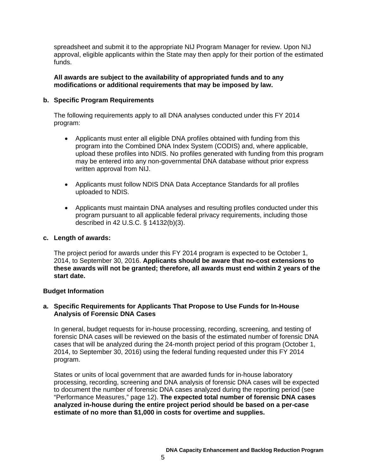spreadsheet and submit it to the appropriate NIJ Program Manager for review. Upon NIJ approval, eligible applicants within the State may then apply for their portion of the estimated funds.

### **All awards are subject to the availability of appropriated funds and to any modifications or additional requirements that may be imposed by law.**

# **b. Specific Program Requirements**

The following requirements apply to all DNA analyses conducted under this FY 2014 program:

- Applicants must enter all eligible DNA profiles obtained with funding from this program into the Combined DNA Index System (CODIS) and, where applicable, upload these profiles into NDIS. No profiles generated with funding from this program may be entered into any non-governmental DNA database without prior express written approval from NIJ.
- Applicants must follow NDIS DNA Data Acceptance Standards for all profiles uploaded to NDIS.
- Applicants must maintain DNA analyses and resulting profiles conducted under this program pursuant to all applicable federal privacy requirements, including those described in 42 U.S.C. § 14132(b)(3).

# **c. Length of awards:**

The project period for awards under this FY 2014 program is expected to be October 1, 2014, to September 30, 2016. **Applicants should be aware that no-cost extensions to these awards will not be granted; therefore, all awards must end within 2 years of the start date.**

# **Budget Information**

# **a. Specific Requirements for Applicants That Propose to Use Funds for In-House Analysis of Forensic DNA Cases**

In general, budget requests for in-house processing, recording, screening, and testing of forensic DNA cases will be reviewed on the basis of the estimated number of forensic DNA cases that will be analyzed during the 24-month project period of this program (October 1, 2014, to September 30, 2016) using the federal funding requested under this FY 2014 program.

States or units of local government that are awarded funds for in-house laboratory processing, recording, screening and DNA analysis of forensic DNA cases will be expected to document the number of forensic DNA cases analyzed during the reporting period (see "Performance Measures," page 12). **The expected total number of forensic DNA cases analyzed in-house during the entire project period should be based on a per-case estimate of no more than \$1,000 in costs for overtime and supplies.**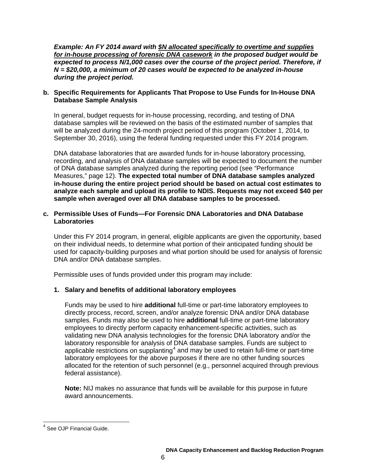*Example: An FY 2014 award with \$N allocated specifically to overtime and supplies for in-house processing of forensic DNA casework in the proposed budget would be expected to process N/1,000 cases over the course of the project period. Therefore, if N = \$20,000, a minimum of 20 cases would be expected to be analyzed in-house during the project period.*

# **b. Specific Requirements for Applicants That Propose to Use Funds for In-House DNA Database Sample Analysis**

In general, budget requests for in-house processing, recording, and testing of DNA database samples will be reviewed on the basis of the estimated number of samples that will be analyzed during the 24-month project period of this program (October 1, 2014, to September 30, 2016), using the federal funding requested under this FY 2014 program.

DNA database laboratories that are awarded funds for in-house laboratory processing, recording, and analysis of DNA database samples will be expected to document the number of DNA database samples analyzed during the reporting period (see "Performance Measures," page 12). **The expected total number of DNA database samples analyzed in-house during the entire project period should be based on actual cost estimates to analyze each sample and upload its profile to NDIS. Requests may not exceed \$40 per sample when averaged over all DNA database samples to be processed.** 

# **c. Permissible Uses of Funds—For Forensic DNA Laboratories and DNA Database Laboratories**

Under this FY 2014 program, in general, eligible applicants are given the opportunity, based on their individual needs, to determine what portion of their anticipated funding should be used for capacity-building purposes and what portion should be used for analysis of forensic DNA and/or DNA database samples.

Permissible uses of funds provided under this program may include:

# **1. Salary and benefits of additional laboratory employees**

Funds may be used to hire **additional** full-time or part-time laboratory employees to directly process, record, screen, and/or analyze forensic DNA and/or DNA database samples. Funds may also be used to hire **additional** full-time or part-time laboratory employees to directly perform capacity enhancement-specific activities, such as validating new DNA analysis technologies for the forensic DNA laboratory and/or the laboratory responsible for analysis of DNA database samples. Funds are subject to applicable restrictions on supplanting<sup>[4](#page-6-0)</sup> and may be used to retain full-time or part-time laboratory employees for the above purposes if there are no other funding sources allocated for the retention of such personnel (e.g., personnel acquired through previous federal assistance).

**Note:** NIJ makes no assurance that funds will be available for this purpose in future award announcements.

<span id="page-6-0"></span><sup>&</sup>lt;sup>4</sup> See OJP Financial Guide.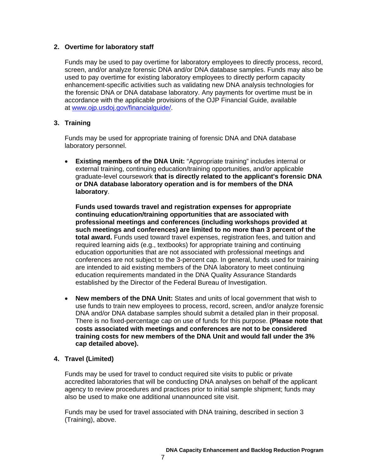### **2. Overtime for laboratory staff**

Funds may be used to pay overtime for laboratory employees to directly process, record, screen, and/or analyze forensic DNA and/or DNA database samples. Funds may also be used to pay overtime for existing laboratory employees to directly perform capacity enhancement-specific activities such as validating new DNA analysis technologies for the forensic DNA or DNA database laboratory. Any payments for overtime must be in accordance with the applicable provisions of the OJP Financial Guide, available at [www.ojp.usdoj.gov/financialguide/.](http://www.ojp.usdoj.gov/financialguide/)

# **3. Training**

Funds may be used for appropriate training of forensic DNA and DNA database laboratory personnel.

• **Existing members of the DNA Unit:** "Appropriate training" includes internal or external training, continuing education/training opportunities, and/or applicable graduate-level coursework **that is directly related to the applicant's forensic DNA or DNA database laboratory operation and is for members of the DNA laboratory**.

**Funds used towards travel and registration expenses for appropriate continuing education/training opportunities that are associated with professional meetings and conferences (including workshops provided at such meetings and conferences) are limited to no more than 3 percent of the total award.** Funds used toward travel expenses, registration fees, and tuition and required learning aids (e.g., textbooks) for appropriate training and continuing education opportunities that are not associated with professional meetings and conferences are not subject to the 3-percent cap. In general, funds used for training are intended to aid existing members of the DNA laboratory to meet continuing education requirements mandated in the DNA Quality Assurance Standards established by the Director of the Federal Bureau of Investigation.

• **New members of the DNA Unit:** States and units of local government that wish to use funds to train new employees to process, record, screen, and/or analyze forensic DNA and/or DNA database samples should submit a detailed plan in their proposal. There is no fixed-percentage cap on use of funds for this purpose. **(Please note that costs associated with meetings and conferences are not to be considered training costs for new members of the DNA Unit and would fall under the 3% cap detailed above).**

#### **4. Travel (Limited)**

Funds may be used for travel to conduct required site visits to public or private accredited laboratories that will be conducting DNA analyses on behalf of the applicant agency to review procedures and practices prior to initial sample shipment; funds may also be used to make one additional unannounced site visit.

Funds may be used for travel associated with DNA training, described in section 3 (Training), above.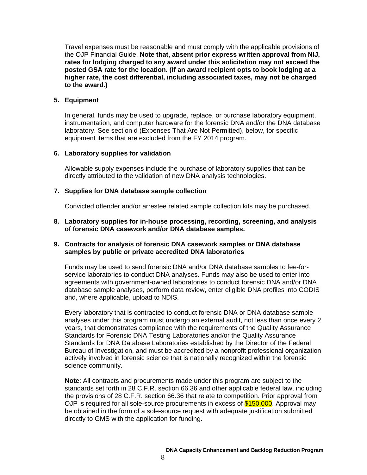Travel expenses must be reasonable and must comply with the applicable provisions of the OJP Financial Guide. **Note that, absent prior express written approval from NIJ, rates for lodging charged to any award under this solicitation may not exceed the posted GSA rate for the location. (If an award recipient opts to book lodging at a higher rate, the cost differential, including associated taxes, may not be charged to the award.)**

### **5. Equipment**

In general, funds may be used to upgrade, replace, or purchase laboratory equipment, instrumentation, and computer hardware for the forensic DNA and/or the DNA database laboratory. See section d (Expenses That Are Not Permitted), below, for specific equipment items that are excluded from the FY 2014 program.

#### **6. Laboratory supplies for validation**

Allowable supply expenses include the purchase of laboratory supplies that can be directly attributed to the validation of new DNA analysis technologies.

### **7. Supplies for DNA database sample collection**

Convicted offender and/or arrestee related sample collection kits may be purchased.

**8. Laboratory supplies for in-house processing, recording, screening, and analysis of forensic DNA casework and/or DNA database samples.**

### **9. Contracts for analysis of forensic DNA casework samples or DNA database samples by public or private accredited DNA laboratories**

Funds may be used to send forensic DNA and/or DNA database samples to fee-forservice laboratories to conduct DNA analyses. Funds may also be used to enter into agreements with government-owned laboratories to conduct forensic DNA and/or DNA database sample analyses, perform data review, enter eligible DNA profiles into CODIS and, where applicable, upload to NDIS.

Every laboratory that is contracted to conduct forensic DNA or DNA database sample analyses under this program must undergo an external audit, not less than once every 2 years, that demonstrates compliance with the requirements of the Quality Assurance Standards for Forensic DNA Testing Laboratories and/or the Quality Assurance Standards for DNA Database Laboratories established by the Director of the Federal Bureau of Investigation, and must be accredited by a nonprofit professional organization actively involved in forensic science that is nationally recognized within the forensic science community.

**Note**: All contracts and procurements made under this program are subject to the standards set forth in 28 C.F.R. section 66.36 and other applicable federal law, including the provisions of 28 C.F.R. section 66.36 that relate to competition. Prior approval from OJP is required for all sole-source procurements in excess of \$150,000. Approval may be obtained in the form of a sole-source request with adequate justification submitted directly to GMS with the application for funding.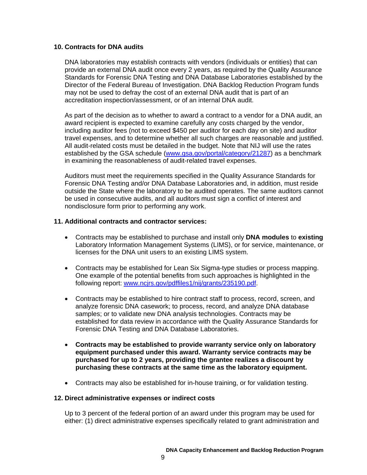#### **10. Contracts for DNA audits**

DNA laboratories may establish contracts with vendors (individuals or entities) that can provide an external DNA audit once every 2 years, as required by the Quality Assurance Standards for Forensic DNA Testing and DNA Database Laboratories established by the Director of the Federal Bureau of Investigation. DNA Backlog Reduction Program funds may not be used to defray the cost of an external DNA audit that is part of an accreditation inspection/assessment, or of an internal DNA audit.

As part of the decision as to whether to award a contract to a vendor for a DNA audit, an award recipient is expected to examine carefully any costs charged by the vendor, including auditor fees (not to exceed \$450 per auditor for each day on site) and auditor travel expenses, and to determine whether all such charges are reasonable and justified. All audit-related costs must be detailed in the budget. Note that NIJ will use the rates established by the GSA schedule [\(www.gsa.gov/portal/category/21287\)](http://www.gsa.gov/portal/category/21287) as a benchmark in examining the reasonableness of audit-related travel expenses.

Auditors must meet the requirements specified in the Quality Assurance Standards for Forensic DNA Testing and/or DNA Database Laboratories and, in addition, must reside outside the State where the laboratory to be audited operates. The same auditors cannot be used in consecutive audits, and all auditors must sign a conflict of interest and nondisclosure form prior to performing any work.

#### **11. Additional contracts and contractor services:**

- Contracts may be established to purchase and install only **DNA modules** to **existing** Laboratory Information Management Systems (LIMS), or for service, maintenance, or licenses for the DNA unit users to an existing LIMS system.
- Contracts may be established for Lean Six Sigma-type studies or process mapping. One example of the potential benefits from such approaches is highlighted in the following report: [www.ncjrs.gov/pdffiles1/nij/grants/235190.pdf.](http://www.ncjrs.gov/pdffiles1/nij/grants/235190.pdf)
- Contracts may be established to hire contract staff to process, record, screen, and analyze forensic DNA casework; to process, record, and analyze DNA database samples; or to validate new DNA analysis technologies. Contracts may be established for data review in accordance with the Quality Assurance Standards for Forensic DNA Testing and DNA Database Laboratories.
- **Contracts may be established to provide warranty service only on laboratory equipment purchased under this award. Warranty service contracts may be purchased for up to 2 years, providing the grantee realizes a discount by purchasing these contracts at the same time as the laboratory equipment.**
- Contracts may also be established for in-house training, or for validation testing.

#### **12. Direct administrative expenses or indirect costs**

Up to 3 percent of the federal portion of an award under this program may be used for either: (1) direct administrative expenses specifically related to grant administration and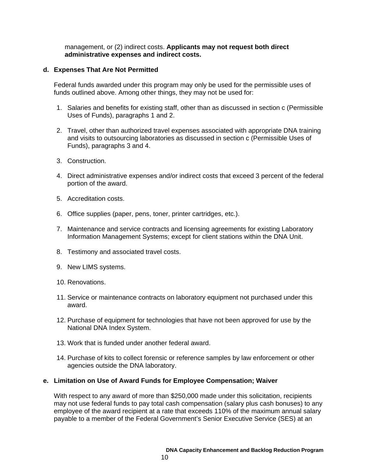management, or (2) indirect costs. **Applicants may not request both direct administrative expenses and indirect costs.**

#### **d. Expenses That Are Not Permitted**

Federal funds awarded under this program may only be used for the permissible uses of funds outlined above. Among other things, they may not be used for:

- 1. Salaries and benefits for existing staff, other than as discussed in section c (Permissible Uses of Funds), paragraphs 1 and 2.
- 2. Travel, other than authorized travel expenses associated with appropriate DNA training and visits to outsourcing laboratories as discussed in section c (Permissible Uses of Funds), paragraphs 3 and 4.
- 3. Construction.
- 4. Direct administrative expenses and/or indirect costs that exceed 3 percent of the federal portion of the award.
- 5. Accreditation costs.
- 6. Office supplies (paper, pens, toner, printer cartridges, etc.).
- 7. Maintenance and service contracts and licensing agreements for existing Laboratory Information Management Systems; except for client stations within the DNA Unit.
- 8. Testimony and associated travel costs.
- 9. New LIMS systems.
- 10. Renovations.
- 11. Service or maintenance contracts on laboratory equipment not purchased under this award.
- 12. Purchase of equipment for technologies that have not been approved for use by the National DNA Index System.
- 13. Work that is funded under another federal award.
- 14. Purchase of kits to collect forensic or reference samples by law enforcement or other agencies outside the DNA laboratory.

#### **e. Limitation on Use of Award Funds for Employee Compensation; Waiver**

With respect to any award of more than \$250,000 made under this solicitation, recipients may not use federal funds to pay total cash compensation (salary plus cash bonuses) to any employee of the award recipient at a rate that exceeds 110% of the maximum annual salary payable to a member of the Federal Government's Senior Executive Service (SES) at an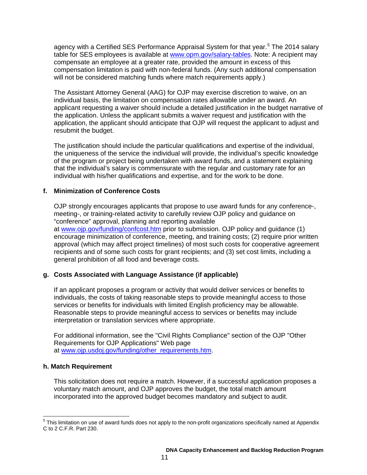agency with a Certified SES Performance Appraisal System for that year.<sup>[5](#page-11-0)</sup> The 2014 salary table for SES employees is available at [www.opm.gov/salary-tables.](http://www.opm.gov/policy-data-oversight/pay-leave/salaries-wages/salary-tables/14Tables/exec/html/ES.aspx) Note: A recipient may compensate an employee at a greater rate, provided the amount in excess of this compensation limitation is paid with non-federal funds. (Any such additional compensation will not be considered matching funds where match requirements apply.)

The Assistant Attorney General (AAG) for OJP may exercise discretion to waive, on an individual basis, the limitation on compensation rates allowable under an award. An applicant requesting a waiver should include a detailed justification in the budget narrative of the application. Unless the applicant submits a waiver request and justification with the application, the applicant should anticipate that OJP will request the applicant to adjust and resubmit the budget.

The justification should include the particular qualifications and expertise of the individual, the uniqueness of the service the individual will provide, the individual's specific knowledge of the program or project being undertaken with award funds, and a statement explaining that the individual's salary is commensurate with the regular and customary rate for an individual with his/her qualifications and expertise, and for the work to be done.

# **f. Minimization of Conference Costs**

OJP strongly encourages applicants that propose to use award funds for any conference-, meeting-, or training-related activity to carefully review OJP policy and guidance on "conference" approval, planning and reporting available at [www.ojp.gov/funding/confcost.htm](http://www.ojp.gov/funding/confcost.htm) prior to submission. OJP policy and guidance (1) encourage minimization of conference, meeting, and training costs; (2) require prior written approval (which may affect project timelines) of most such costs for cooperative agreement recipients and of some such costs for grant recipients; and (3) set cost limits, including a general prohibition of all food and beverage costs.

# **g. Costs Associated with Language Assistance (if applicable)**

If an applicant proposes a program or activity that would deliver services or benefits to individuals, the costs of taking reasonable steps to provide meaningful access to those services or benefits for individuals with limited English proficiency may be allowable. Reasonable steps to provide meaningful access to services or benefits may include interpretation or translation services where appropriate.

For additional information, see the "Civil Rights Compliance" section of the OJP "Other Requirements for OJP Applications" Web page at [www.ojp.usdoj.gov/funding/other\\_requirements.htm.](http://www.ojp.usdoj.gov/funding/other_requirements.htm)

# **h. Match Requirement**

This solicitation does not require a match. However, if a successful application proposes a voluntary match amount, and OJP approves the budget, the total match amount incorporated into the approved budget becomes mandatory and subject to audit.

<span id="page-11-0"></span> $5$  This limitation on use of award funds does not apply to the non-profit organizations specifically named at Appendix C to 2 C.F.R. Part 230.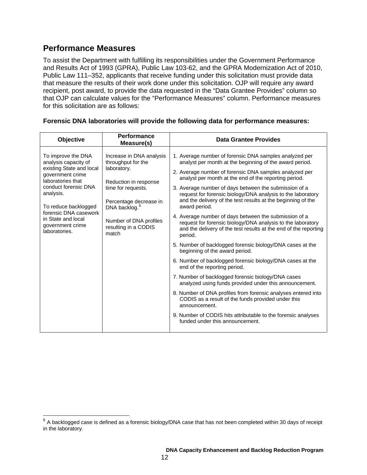# <span id="page-12-0"></span>**Performance Measures**

To assist the Department with fulfilling its responsibilities under the Government Performance and Results Act of 1993 (GPRA), Public Law 103-62, and the GPRA Modernization Act of 2010, Public Law 111–352, applicants that receive funding under this solicitation must provide data that measure the results of their work done under this solicitation. OJP will require any award recipient, post award, to provide the data requested in the "Data Grantee Provides" column so that OJP can calculate values for the "Performance Measures" column. Performance measures for this solicitation are as follows:

| <b>Objective</b>                                                                                                                                                                                                                                                 | <b>Performance</b><br>Measure(s)                                                                                                                                                                                               | <b>Data Grantee Provides</b>                                                                                                                                                                                                                                                                                                                                                                                                                                                                                                                                                                                                                                                                                                                                                                                                                                                                                                                                                                                                                                                                                                                                                                                 |
|------------------------------------------------------------------------------------------------------------------------------------------------------------------------------------------------------------------------------------------------------------------|--------------------------------------------------------------------------------------------------------------------------------------------------------------------------------------------------------------------------------|--------------------------------------------------------------------------------------------------------------------------------------------------------------------------------------------------------------------------------------------------------------------------------------------------------------------------------------------------------------------------------------------------------------------------------------------------------------------------------------------------------------------------------------------------------------------------------------------------------------------------------------------------------------------------------------------------------------------------------------------------------------------------------------------------------------------------------------------------------------------------------------------------------------------------------------------------------------------------------------------------------------------------------------------------------------------------------------------------------------------------------------------------------------------------------------------------------------|
| To improve the DNA<br>analysis capacity of<br>existing State and local<br>government crime<br>laboratories that<br>conduct forensic DNA<br>analysis.<br>To reduce backlogged<br>forensic DNA casework<br>in State and local<br>government crime<br>laboratories. | Increase in DNA analysis<br>throughput for the<br>laboratory.<br>Reduction in response<br>time for requests.<br>Percentage decrease in<br>DNA backlog. <sup>6</sup><br>Number of DNA profiles<br>resulting in a CODIS<br>match | 1. Average number of forensic DNA samples analyzed per<br>analyst per month at the beginning of the award period.<br>2. Average number of forensic DNA samples analyzed per<br>analyst per month at the end of the reporting period.<br>3. Average number of days between the submission of a<br>request for forensic biology/DNA analysis to the laboratory<br>and the delivery of the test results at the beginning of the<br>award period.<br>4. Average number of days between the submission of a<br>request for forensic biology/DNA analysis to the laboratory<br>and the delivery of the test results at the end of the reporting<br>period.<br>5. Number of backlogged forensic biology/DNA cases at the<br>beginning of the award period.<br>6. Number of backlogged forensic biology/DNA cases at the<br>end of the reporting period.<br>7. Number of backlogged forensic biology/DNA cases<br>analyzed using funds provided under this announcement.<br>8. Number of DNA profiles from forensic analyses entered into<br>CODIS as a result of the funds provided under this<br>announcement.<br>9. Number of CODIS hits attributable to the forensic analyses<br>funded under this announcement. |

#### **Forensic DNA laboratories will provide the following data for performance measures:**

<span id="page-12-1"></span> $6$  A backlogged case is defined as a forensic biology/DNA case that has not been completed within 30 days of receipt in the laboratory.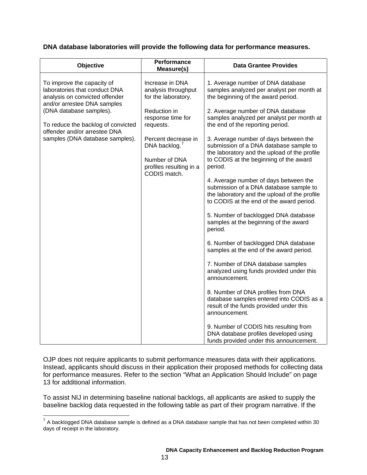# **DNA database laboratories will provide the following data for performance measures.**

| Objective                                                                                                                                                                                                                                                        | Performance<br>Measure(s)                                                                                                                                                                                                       | <b>Data Grantee Provides</b>                                                                                                                                                                                                                                                                                                                                                                                                                                                                                                                                                                                                                                                                                                                                                                                                                                                                                                                                                                                                                                                                                                                                                   |
|------------------------------------------------------------------------------------------------------------------------------------------------------------------------------------------------------------------------------------------------------------------|---------------------------------------------------------------------------------------------------------------------------------------------------------------------------------------------------------------------------------|--------------------------------------------------------------------------------------------------------------------------------------------------------------------------------------------------------------------------------------------------------------------------------------------------------------------------------------------------------------------------------------------------------------------------------------------------------------------------------------------------------------------------------------------------------------------------------------------------------------------------------------------------------------------------------------------------------------------------------------------------------------------------------------------------------------------------------------------------------------------------------------------------------------------------------------------------------------------------------------------------------------------------------------------------------------------------------------------------------------------------------------------------------------------------------|
| To improve the capacity of<br>laboratories that conduct DNA<br>analysis on convicted offender<br>and/or arrestee DNA samples<br>(DNA database samples).<br>To reduce the backlog of convicted<br>offender and/or arrestee DNA<br>samples (DNA database samples). | Increase in DNA<br>analysis throughput<br>for the laboratory.<br>Reduction in<br>response time for<br>requests.<br>Percent decrease in<br>DNA backlog. <sup>7</sup><br>Number of DNA<br>profiles resulting in a<br>CODIS match. | 1. Average number of DNA database<br>samples analyzed per analyst per month at<br>the beginning of the award period.<br>2. Average number of DNA database<br>samples analyzed per analyst per month at<br>the end of the reporting period.<br>3. Average number of days between the<br>submission of a DNA database sample to<br>the laboratory and the upload of the profile<br>to CODIS at the beginning of the award<br>period.<br>4. Average number of days between the<br>submission of a DNA database sample to<br>the laboratory and the upload of the profile<br>to CODIS at the end of the award period.<br>5. Number of backlogged DNA database<br>samples at the beginning of the award<br>period.<br>6. Number of backlogged DNA database<br>samples at the end of the award period.<br>7. Number of DNA database samples<br>analyzed using funds provided under this<br>announcement.<br>8. Number of DNA profiles from DNA<br>database samples entered into CODIS as a<br>result of the funds provided under this<br>announcement.<br>9. Number of CODIS hits resulting from<br>DNA database profiles developed using<br>funds provided under this announcement. |

OJP does not require applicants to submit performance measures data with their applications. Instead, applicants should discuss in their application their proposed methods for collecting data for performance measures. Refer to the section "What an Application Should Include" on page 13 for additional information.

To assist NIJ in determining baseline national backlogs, all applicants are asked to supply the baseline backlog data requested in the following table as part of their program narrative. If the

<span id="page-13-0"></span> $7$  A backlogged DNA database sample is defined as a DNA database sample that has not been completed within 30 days of receipt in the laboratory.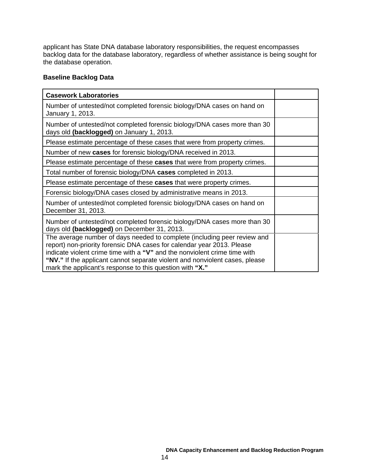applicant has State DNA database laboratory responsibilities, the request encompasses backlog data for the database laboratory, regardless of whether assistance is being sought for the database operation.

# **Baseline Backlog Data**

| <b>Casework Laboratories</b>                                                                                                                                                                                                                                                                                                                                               |  |
|----------------------------------------------------------------------------------------------------------------------------------------------------------------------------------------------------------------------------------------------------------------------------------------------------------------------------------------------------------------------------|--|
| Number of untested/not completed forensic biology/DNA cases on hand on<br>January 1, 2013.                                                                                                                                                                                                                                                                                 |  |
| Number of untested/not completed forensic biology/DNA cases more than 30<br>days old (backlogged) on January 1, 2013.                                                                                                                                                                                                                                                      |  |
| Please estimate percentage of these cases that were from property crimes.                                                                                                                                                                                                                                                                                                  |  |
| Number of new cases for forensic biology/DNA received in 2013.                                                                                                                                                                                                                                                                                                             |  |
| Please estimate percentage of these cases that were from property crimes.                                                                                                                                                                                                                                                                                                  |  |
| Total number of forensic biology/DNA cases completed in 2013.                                                                                                                                                                                                                                                                                                              |  |
| Please estimate percentage of these cases that were property crimes.                                                                                                                                                                                                                                                                                                       |  |
| Forensic biology/DNA cases closed by administrative means in 2013.                                                                                                                                                                                                                                                                                                         |  |
| Number of untested/not completed forensic biology/DNA cases on hand on<br>December 31, 2013.                                                                                                                                                                                                                                                                               |  |
| Number of untested/not completed forensic biology/DNA cases more than 30<br>days old (backlogged) on December 31, 2013.                                                                                                                                                                                                                                                    |  |
| The average number of days needed to complete (including peer review and<br>report) non-priority forensic DNA cases for calendar year 2013. Please<br>indicate violent crime time with a "V" and the nonviolent crime time with<br>"NV." If the applicant cannot separate violent and nonviolent cases, please<br>mark the applicant's response to this question with "X." |  |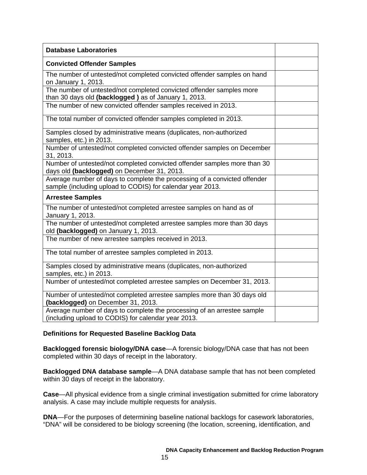| <b>Database Laboratories</b>                                                                                                            |  |
|-----------------------------------------------------------------------------------------------------------------------------------------|--|
| <b>Convicted Offender Samples</b>                                                                                                       |  |
| The number of untested/not completed convicted offender samples on hand<br>on January 1, 2013.                                          |  |
| The number of untested/not completed convicted offender samples more<br>than 30 days old (backlogged) as of January 1, 2013.            |  |
| The number of new convicted offender samples received in 2013.                                                                          |  |
| The total number of convicted offender samples completed in 2013.                                                                       |  |
| Samples closed by administrative means (duplicates, non-authorized<br>samples, etc.) in 2013.                                           |  |
| Number of untested/not completed convicted offender samples on December<br>31, 2013.                                                    |  |
| Number of untested/not completed convicted offender samples more than 30<br>days old (backlogged) on December 31, 2013.                 |  |
| Average number of days to complete the processing of a convicted offender<br>sample (including upload to CODIS) for calendar year 2013. |  |
| <b>Arrestee Samples</b>                                                                                                                 |  |
| The number of untested/not completed arrestee samples on hand as of<br>January 1, 2013.                                                 |  |
| The number of untested/not completed arrestee samples more than 30 days<br>old (backlogged) on January 1, 2013.                         |  |
| The number of new arrestee samples received in 2013.                                                                                    |  |
| The total number of arrestee samples completed in 2013.                                                                                 |  |
| Samples closed by administrative means (duplicates, non-authorized<br>samples, etc.) in 2013.                                           |  |
| Number of untested/not completed arrestee samples on December 31, 2013.                                                                 |  |
| Number of untested/not completed arrestee samples more than 30 days old<br>(backlogged) on December 31, 2013.                           |  |
| Average number of days to complete the processing of an arrestee sample<br>(including upload to CODIS) for calendar year 2013.          |  |

# **Definitions for Requested Baseline Backlog Data**

**Backlogged forensic biology/DNA case**—A forensic biology/DNA case that has not been completed within 30 days of receipt in the laboratory.

**Backlogged DNA database sample**—A DNA database sample that has not been completed within 30 days of receipt in the laboratory.

**Case**—All physical evidence from a single criminal investigation submitted for crime laboratory analysis. A case may include multiple requests for analysis.

**DNA**—For the purposes of determining baseline national backlogs for casework laboratories, "DNA" will be considered to be biology screening (the location, screening, identification, and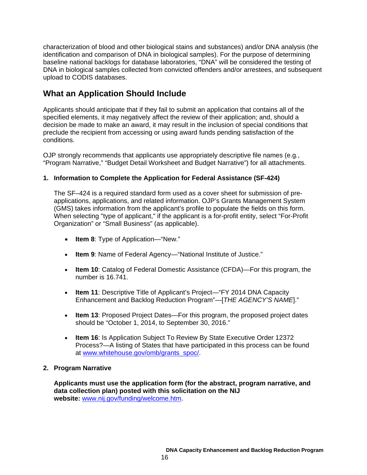characterization of blood and other biological stains and substances) and/or DNA analysis (the identification and comparison of DNA in biological samples). For the purpose of determining baseline national backlogs for database laboratories, "DNA" will be considered the testing of DNA in biological samples collected from convicted offenders and/or arrestees, and subsequent upload to CODIS databases.

# <span id="page-16-0"></span>**What an Application Should Include**

Applicants should anticipate that if they fail to submit an application that contains all of the specified elements, it may negatively affect the review of their application; and, should a decision be made to make an award, it may result in the inclusion of special conditions that preclude the recipient from accessing or using award funds pending satisfaction of the conditions.

OJP strongly recommends that applicants use appropriately descriptive file names (e.g*.*, "Program Narrative," "Budget Detail Worksheet and Budget Narrative") for all attachments.

# <span id="page-16-1"></span>**1. Information to Complete the Application for Federal Assistance (SF-424)**

The SF–424 is a required standard form used as a cover sheet for submission of preapplications, applications, and related information. OJP's Grants Management System (GMS) takes information from the applicant's profile to populate the fields on this form. When selecting "type of applicant," if the applicant is a for-profit entity, select "For-Profit Organization" or "Small Business" (as applicable).

- **Item 8**: Type of Application—"New."
- **Item 9**: Name of Federal Agency—"National Institute of Justice."
- **Item 10**: Catalog of Federal Domestic Assistance (CFDA)—For this program, the number is 16.741.
- **Item 11**: Descriptive Title of Applicant's Project—"FY 2014 DNA Capacity Enhancement and Backlog Reduction Program"—[*THE AGENCY'S NAME*]."
- **Item 13**: Proposed Project Dates—For this program, the proposed project dates should be "October 1, 2014, to September 30, 2016."
- **Item 16**: Is Application Subject To Review By State Executive Order 12372 Process?—A listing of States that have participated in this process can be found at [www.whitehouse.gov/omb/grants\\_spoc/.](http://www.whitehouse.gov/omb/grants_spoc/)

# <span id="page-16-2"></span>**2. Program Narrative**

**Applicants must use the application form (for the abstract, program narrative, and data collection plan) posted with this solicitation on the NIJ website:** [www.nij.gov/funding/welcome.htm.](http://www.nij.gov/funding/welcome.htm)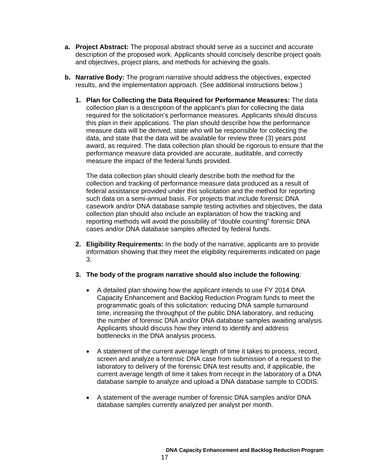- **a. Project Abstract:** The proposal abstract should serve as a succinct and accurate description of the proposed work. Applicants should concisely describe project goals and objectives, project plans, and methods for achieving the goals.
- **b. Narrative Body:** The program narrative should address the objectives, expected results, and the implementation approach. (See additional instructions below.)
	- **1. Plan for Collecting the Data Required for Performance Measures:** The data collection plan is a description of the applicant's plan for collecting the data required for the solicitation's performance measures. Applicants should discuss this plan in their applications. The plan should describe how the performance measure data will be derived, state who will be responsible for collecting the data, and state that the data will be available for review three (3) years post award, as required. The data collection plan should be rigorous to ensure that the performance measure data provided are accurate, auditable, and correctly measure the impact of the federal funds provided.

The data collection plan should clearly describe both the method for the collection and tracking of performance measure data produced as a result of federal assistance provided under this solicitation and the method for reporting such data on a semi-annual basis. For projects that include forensic DNA casework and/or DNA database sample testing activities and objectives, the data collection plan should also include an explanation of how the tracking and reporting methods will avoid the possibility of "double counting" forensic DNA cases and/or DNA database samples affected by federal funds.

- **2. Eligibility Requirements:** In the body of the narrative, applicants are to provide information showing that they meet the eligibility requirements indicated on page 3.
- **3. The body of the program narrative should also include the following**:
	- A detailed plan showing how the applicant intends to use FY 2014 DNA Capacity Enhancement and Backlog Reduction Program funds to meet the programmatic goals of this solicitation: reducing DNA sample turnaround time, increasing the throughput of the public DNA laboratory, and reducing the number of forensic DNA and/or DNA database samples awaiting analysis. Applicants should discuss how they intend to identify and address bottlenecks in the DNA analysis process.
	- A statement of the current average length of time it takes to process, record, screen and analyze a forensic DNA case from submission of a request to the laboratory to delivery of the forensic DNA test results and, if applicable, the current average length of time it takes from receipt in the laboratory of a DNA database sample to analyze and upload a DNA database sample to CODIS.
	- A statement of the average number of forensic DNA samples and/or DNA database samples currently analyzed per analyst per month.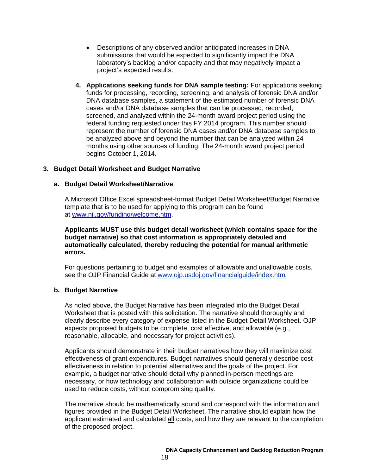- Descriptions of any observed and/or anticipated increases in DNA submissions that would be expected to significantly impact the DNA laboratory's backlog and/or capacity and that may negatively impact a project's expected results.
- **4. Applications seeking funds for DNA sample testing:** For applications seeking funds for processing, recording, screening, and analysis of forensic DNA and/or DNA database samples, a statement of the estimated number of forensic DNA cases and/or DNA database samples that can be processed, recorded, screened, and analyzed within the 24-month award project period using the federal funding requested under this FY 2014 program. This number should represent the number of forensic DNA cases and/or DNA database samples to be analyzed above and beyond the number that can be analyzed within 24 months using other sources of funding. The 24-month award project period begins October 1, 2014.

# <span id="page-18-0"></span>**3. Budget Detail Worksheet and Budget Narrative**

#### **a. Budget Detail Worksheet/Narrative**

A Microsoft Office Excel spreadsheet-format Budget Detail Worksheet/Budget Narrative template that is to be used for applying to this program can be found at [www.nij.gov/funding/welcome.htm.](http://www.nij.gov/funding/welcome.htm)

**Applicants MUST use this budget detail worksheet (which contains space for the budget narrative) so that cost information is appropriately detailed and automatically calculated, thereby reducing the potential for manual arithmetic errors.**

For questions pertaining to budget and examples of allowable and unallowable costs, see the OJP Financial Guide at [www.ojp.usdoj.gov/financialguide/index.htm](http://www.ojp.usdoj.gov/financialguide/index.htm)*.*

#### **b. Budget Narrative**

As noted above, the Budget Narrative has been integrated into the Budget Detail Worksheet that is posted with this solicitation. The narrative should thoroughly and clearly describe every category of expense listed in the Budget Detail Worksheet. OJP expects proposed budgets to be complete, cost effective, and allowable (e.g., reasonable, allocable, and necessary for project activities).

Applicants should demonstrate in their budget narratives how they will maximize cost effectiveness of grant expenditures. Budget narratives should generally describe cost effectiveness in relation to potential alternatives and the goals of the project. For example, a budget narrative should detail why planned in-person meetings are necessary, or how technology and collaboration with outside organizations could be used to reduce costs, without compromising quality.

The narrative should be mathematically sound and correspond with the information and figures provided in the Budget Detail Worksheet. The narrative should explain how the applicant estimated and calculated all costs, and how they are relevant to the completion of the proposed project.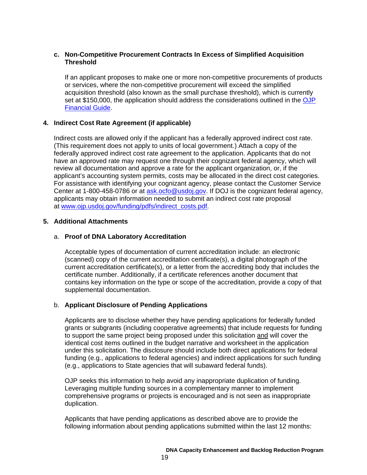### **c. Non-Competitive Procurement Contracts In Excess of Simplified Acquisition Threshold**

If an applicant proposes to make one or more non-competitive procurements of products or services, where the non-competitive procurement will exceed the simplified acquisition threshold (also known as the small purchase threshold), which is currently set at \$150,000, the application should address the considerations outlined in the OJP [Financial Guide.](http://www.ojp.usdoj.gov/financialguide/index.htm)

# <span id="page-19-0"></span>**4. Indirect Cost Rate Agreement (if applicable)**

Indirect costs are allowed only if the applicant has a federally approved indirect cost rate. (This requirement does not apply to units of local government.) Attach a copy of the federally approved indirect cost rate agreement to the application. Applicants that do not have an approved rate may request one through their cognizant federal agency, which will review all documentation and approve a rate for the applicant organization, or, if the applicant's accounting system permits, costs may be allocated in the direct cost categories. For assistance with identifying your cognizant agency, please contact the Customer Service Center at 1-800-458-0786 or at [ask.ocfo@usdoj.gov.](mailto:ask.ocfo@usdoj.gov) If DOJ is the cognizant federal agency, applicants may obtain information needed to submit an indirect cost rate proposal at [www.ojp.usdoj.gov/funding/pdfs/indirect\\_costs.pdf.](http://www.ojp.usdoj.gov/funding/pdfs/indirect_costs.pdf)

### **5. Additional Attachments**

### a. **Proof of DNA Laboratory Accreditation**

<span id="page-19-1"></span>Acceptable types of documentation of current accreditation include: an electronic (scanned) copy of the current accreditation certificate(s), a digital photograph of the current accreditation certificate(s), or a letter from the accrediting body that includes the certificate number. Additionally, if a certificate references another document that contains key information on the type or scope of the accreditation, provide a copy of that supplemental documentation.

# b. **Applicant Disclosure of Pending Applications**

Applicants are to disclose whether they have pending applications for federally funded grants or subgrants (including cooperative agreements) that include requests for funding to support the same project being proposed under this solicitation and will cover the identical cost items outlined in the budget narrative and worksheet in the application under this solicitation. The disclosure should include both direct applications for federal funding (e.g., applications to federal agencies) and indirect applications for such funding (e.g., applications to State agencies that will subaward federal funds).

OJP seeks this information to help avoid any inappropriate duplication of funding. Leveraging multiple funding sources in a complementary manner to implement comprehensive programs or projects is encouraged and is not seen as inappropriate duplication.

Applicants that have pending applications as described above are to provide the following information about pending applications submitted within the last 12 months: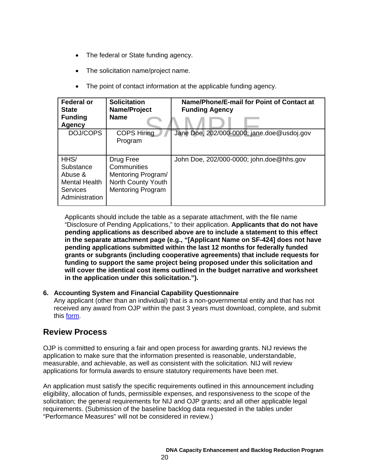- The federal or State funding agency.
- The solicitation name/project name.
- The point of contact information at the applicable funding agency.

| <b>Federal or</b><br><b>State</b><br><b>Funding</b><br><b>Agency</b>               | <b>Solicitation</b><br>Name/Project<br><b>Name</b>                                               | Name/Phone/E-mail for Point of Contact at<br><b>Funding Agency</b> |
|------------------------------------------------------------------------------------|--------------------------------------------------------------------------------------------------|--------------------------------------------------------------------|
| DOJ/COPS                                                                           | <b>COPS Hiring</b><br>Program                                                                    | Jane Doe, 202/000-0000; jane.doe@usdoj.gov                         |
| HHS/<br>Substance<br>Abuse &<br><b>Mental Health</b><br>Services<br>Administration | Drug Free<br>Communities<br>Mentoring Program/<br>North County Youth<br><b>Mentoring Program</b> | John Doe, 202/000-0000; john.doe@hhs.gov                           |

Applicants should include the table as a separate attachment, with the file name "Disclosure of Pending Applications," to their application. **Applicants that do not have pending applications as described above are to include a statement to this effect in the separate attachment page (e.g., "[Applicant Name on SF-424] does not have pending applications submitted within the last 12 months for federally funded grants or subgrants (including cooperative agreements) that include requests for funding to support the same project being proposed under this solicitation and will cover the identical cost items outlined in the budget narrative and worksheet in the application under this solicitation.").**

# **6. Accounting System and Financial Capability Questionnaire**

Any applicant (other than an individual) that is a non-governmental entity and that has not received any award from OJP within the past 3 years must download, complete, and submit this [form.](http://www.ojp.usdoj.gov/funding/forms/financial_capability.pdf)

# <span id="page-20-0"></span>**Review Process**

OJP is committed to ensuring a fair and open process for awarding grants. NIJ reviews the application to make sure that the information presented is reasonable, understandable, measurable, and achievable, as well as consistent with the solicitation. NIJ will review applications for formula awards to ensure statutory requirements have been met.

An application must satisfy the specific requirements outlined in this announcement including eligibility, allocation of funds, permissible expenses, and responsiveness to the scope of the solicitation; the general requirements for NIJ and OJP grants; and all other applicable legal requirements. (Submission of the baseline backlog data requested in the tables under "Performance Measures" will not be considered in review.)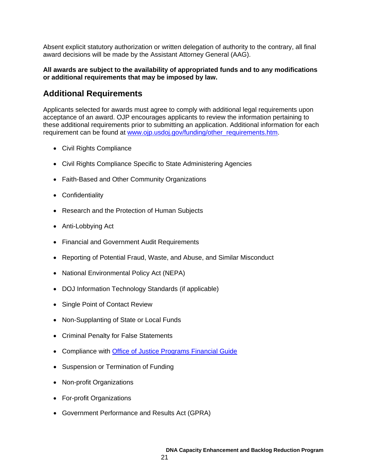Absent explicit statutory authorization or written delegation of authority to the contrary, all final award decisions will be made by the Assistant Attorney General (AAG).

### **All awards are subject to the availability of appropriated funds and to any modifications or additional requirements that may be imposed by law.**

# <span id="page-21-0"></span>**Additional Requirements**

Applicants selected for awards must agree to comply with additional legal requirements upon acceptance of an award. OJP encourages applicants to review the information pertaining to these additional requirements prior to submitting an application. Additional information for each requirement can be found at [www.ojp.usdoj.gov/funding/other\\_requirements.htm.](http://www.ojp.usdoj.gov/funding/other_requirements.htm)

- Civil Rights Compliance
- Civil Rights Compliance Specific to State Administering Agencies
- Faith-Based and Other Community Organizations
- Confidentiality
- Research and the Protection of Human Subjects
- Anti-Lobbying Act
- Financial and Government Audit Requirements
- Reporting of Potential Fraud, Waste, and Abuse, and Similar Misconduct
- National Environmental Policy Act (NEPA)
- DOJ Information Technology Standards (if applicable)
- Single Point of Contact Review
- Non-Supplanting of State or Local Funds
- Criminal Penalty for False Statements
- Compliance with [Office of Justice Programs Financial Guide](http://www.ojp.usdoj.gov/financialguide/index.htm)
- Suspension or Termination of Funding
- Non-profit Organizations
- For-profit Organizations
- Government Performance and Results Act (GPRA)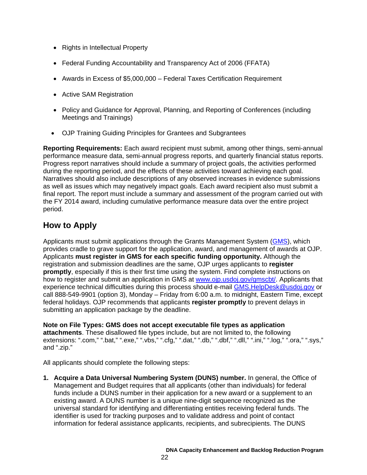- Rights in Intellectual Property
- Federal Funding Accountability and Transparency Act of 2006 (FFATA)
- Awards in Excess of \$5,000,000 Federal Taxes Certification Requirement
- Active SAM Registration
- Policy and Guidance for Approval, Planning, and Reporting of Conferences (including Meetings and Trainings)
- OJP Training Guiding Principles for Grantees and Subgrantees

**Reporting Requirements:** Each award recipient must submit, among other things, semi-annual performance measure data, semi-annual progress reports, and quarterly financial status reports. Progress report narratives should include a summary of project goals, the activities performed during the reporting period, and the effects of these activities toward achieving each goal. Narratives should also include descriptions of any observed increases in evidence submissions as well as issues which may negatively impact goals. Each award recipient also must submit a final report. The report must include a summary and assessment of the program carried out with the FY 2014 award, including cumulative performance measure data over the entire project period.

# <span id="page-22-0"></span>**How to Apply**

Applicants must submit applications through the Grants Management System [\(GMS\)](https://grants.ojp.usdoj.gov/gmsexternal/), which provides cradle to grave support for the application, award, and management of awards at OJP. Applicants **must register in GMS for each specific funding opportunity.** Although the registration and submission deadlines are the same, OJP urges applicants to **register promptly**, especially if this is their first time using the system. Find complete instructions on how to register and submit an application in GMS at [www.ojp.usdoj.gov/gmscbt/.](http://www.ojp.usdoj.gov/gmscbt/) Applicants that experience technical difficulties during this process should e-mail **GMS. HelpDesk@usdoj.gov or** call 888-549-9901 (option 3), Monday – Friday from 6:00 a.m. to midnight, Eastern Time, except federal holidays. OJP recommends that applicants **register promptly** to prevent delays in submitting an application package by the deadline.

**Note on File Types: GMS does not accept executable file types as application attachments**. These disallowed file types include, but are not limited to, the following extensions: ".com," ".bat," ".exe," ".vbs," ".cfg," ".dat," ".db," ".dbf," ".dll," ".ini," ".log," ".ora," ".sys," and ".zip."

All applicants should complete the following steps:

**1. Acquire a Data Universal Numbering System (DUNS) number.** In general, the Office of Management and Budget requires that all applicants (other than individuals) for federal funds include a DUNS number in their application for a new award or a supplement to an existing award. A DUNS number is a unique nine-digit sequence recognized as the universal standard for identifying and differentiating entities receiving federal funds. The identifier is used for tracking purposes and to validate address and point of contact information for federal assistance applicants, recipients, and subrecipients. The DUNS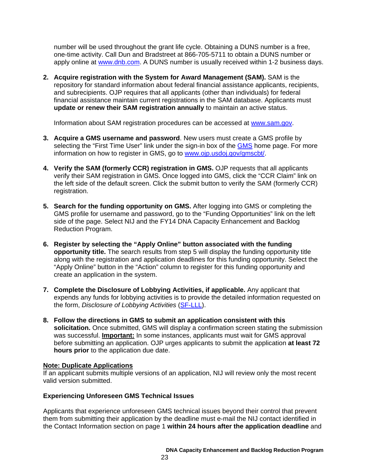number will be used throughout the grant life cycle. Obtaining a DUNS number is a free, one-time activity. Call Dun and Bradstreet at 866-705-5711 to obtain a DUNS number or apply online at www.dnb.com. A DUNS number is usually received within 1-2 business days.

**2. Acquire registration with the System for Award Management (SAM).** SAM is the repository for standard information about federal financial assistance applicants, recipients, and subrecipients. OJP requires that all applicants (other than individuals) for federal financial assistance maintain current registrations in the SAM database. Applicants must **update or renew their SAM registration annually** to maintain an active status.

Information about SAM registration procedures can be accessed at [www.sam.gov.](https://www.sam.gov/portal/public/SAM/?portal:componentId=1f834b82-3fed-4eb3-a1f8-ea1f226a7955&portal:type=action&interactionstate=JBPNS_rO0ABXc0ABBfanNmQnJpZGdlVmlld0lkAAAAAQATL2pzZi9uYXZpZ2F0aW9uLmpzcAAHX19FT0ZfXw**)

- **3. Acquire a GMS username and password**. New users must create a GMS profile by selecting the "First Time User" link under the sign-in box of the [GMS](https://grants.ojp.usdoj.gov/gmsexternal/login.do) home page. For more information on how to register in GMS, go to [www.ojp.usdoj.gov/gmscbt/.](http://www.ojp.usdoj.gov/gmscbt/)
- **4. Verify the SAM (formerly CCR) registration in GMS.** OJP requests that all applicants verify their SAM registration in GMS. Once logged into GMS, click the "CCR Claim" link on the left side of the default screen. Click the submit button to verify the SAM (formerly CCR) registration.
- **5. Search for the funding opportunity on GMS.** After logging into GMS or completing the GMS profile for username and password, go to the "Funding Opportunities" link on the left side of the page. Select NIJ and the FY14 DNA Capacity Enhancement and Backlog Reduction Program.
- **6. Register by selecting the "Apply Online" button associated with the funding opportunity title.** The search results from step 5 will display the funding opportunity title along with the registration and application deadlines for this funding opportunity. Select the "Apply Online" button in the "Action" column to register for this funding opportunity and create an application in the system.
- **7. Complete the Disclosure of Lobbying Activities, if applicable.** Any applicant that expends any funds for lobbying activities is to provide the detailed information requested on the form, *Disclosure of Lobbying Activities* [\(SF-LLL\)](http://www.ojp.gov/funding/forms/disclosure.pdf).
- **8. Follow the directions in GMS to submit an application consistent with this solicitation.** Once submitted, GMS will display a confirmation screen stating the submission was successful. **Important:** In some instances, applicants must wait for GMS approval before submitting an application. OJP urges applicants to submit the application **at least 72 hours prior** to the application due date.

# **Note: Duplicate Applications**

If an applicant submits multiple versions of an application, NIJ will review only the most recent valid version submitted.

# **Experiencing Unforeseen GMS Technical Issues**

Applicants that experience unforeseen GMS technical issues beyond their control that prevent them from submitting their application by the deadline must e-mail the NIJ contact identified in the Contact Information section on page 1 **within 24 hours after the application deadline** and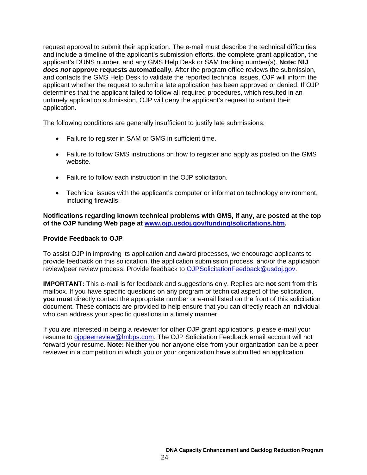request approval to submit their application. The e-mail must describe the technical difficulties and include a timeline of the applicant's submission efforts, the complete grant application, the applicant's DUNS number, and any GMS Help Desk or SAM tracking number(s). **Note: NIJ** *does not* **approve requests automatically***.* After the program office reviews the submission, and contacts the GMS Help Desk to validate the reported technical issues, OJP will inform the applicant whether the request to submit a late application has been approved or denied. If OJP determines that the applicant failed to follow all required procedures, which resulted in an untimely application submission, OJP will deny the applicant's request to submit their application.

The following conditions are generally insufficient to justify late submissions:

- Failure to register in SAM or GMS in sufficient time.
- Failure to follow GMS instructions on how to register and apply as posted on the GMS website.
- Failure to follow each instruction in the OJP solicitation.
- Technical issues with the applicant's computer or information technology environment, including firewalls.

**Notifications regarding known technical problems with GMS, if any, are posted at the top of the OJP funding Web page at [www.ojp.usdoj.gov/funding/solicitations.htm.](http://www.ojp.usdoj.gov/funding/solicitations.htm)**

### <span id="page-24-0"></span>**Provide Feedback to OJP**

To assist OJP in improving its application and award processes, we encourage applicants to provide feedback on this solicitation, the application submission process, and/or the application review/peer review process. Provide feedback to [OJPSolicitationFeedback@usdoj.gov.](mailto:OJPSolicitationFeedback@usdoj.gov)

**IMPORTANT:** This e-mail is for feedback and suggestions only. Replies are **not** sent from this mailbox. If you have specific questions on any program or technical aspect of the solicitation, **you must** directly contact the appropriate number or e-mail listed on the front of this solicitation document. These contacts are provided to help ensure that you can directly reach an individual who can address your specific questions in a timely manner.

If you are interested in being a reviewer for other OJP grant applications, please e-mail your resume to oppeerreview@lmbps.com. The OJP Solicitation Feedback email account will not forward your resume. **Note:** Neither you nor anyone else from your organization can be a peer reviewer in a competition in which you or your organization have submitted an application.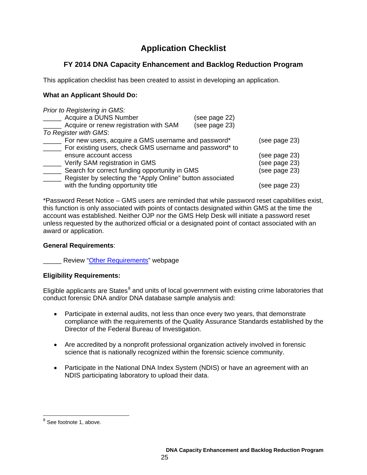# **Application Checklist**

# <span id="page-25-0"></span>**FY 2014 DNA Capacity Enhancement and Backlog Reduction Program**

This application checklist has been created to assist in developing an application.

# **What an Applicant Should Do:**

| Prior to Registering in GMS:                               |               |               |
|------------------------------------------------------------|---------------|---------------|
| Acquire a DUNS Number                                      | (see page 22) |               |
| Acquire or renew registration with SAM                     | (see page 23) |               |
| To Register with GMS:                                      |               |               |
| For new users, acquire a GMS username and password*        |               | (see page 23) |
| For existing users, check GMS username and password* to    |               |               |
| ensure account access                                      |               | (see page 23) |
| Verify SAM registration in GMS                             |               | (see page 23) |
| Search for correct funding opportunity in GMS              |               | (see page 23) |
| Register by selecting the "Apply Online" button associated |               |               |
| with the funding opportunity title                         |               | (see page 23) |

\*Password Reset Notice – GMS users are reminded that while password reset capabilities exist, this function is only associated with points of contacts designated within GMS at the time the account was established. Neither OJP nor the GMS Help Desk will initiate a password reset unless requested by the authorized official or a designated point of contact associated with an award or application.

# **General Requirements**:

**Example 2** Review ["Other Requirements"](http://www.ojp.usdoj.gov/funding/other_requirements.htm) webpage

# **Eligibility Requirements:**

Eligible applicants are States $<sup>8</sup>$  $<sup>8</sup>$  $<sup>8</sup>$  and units of local government with existing crime laboratories that</sup> conduct forensic DNA and/or DNA database sample analysis and:

- Participate in external audits, not less than once every two years, that demonstrate compliance with the requirements of the Quality Assurance Standards established by the Director of the Federal Bureau of Investigation.
- Are accredited by a nonprofit professional organization actively involved in forensic science that is nationally recognized within the forensic science community.
- Participate in the National DNA Index System (NDIS) or have an agreement with an NDIS participating laboratory to upload their data.

<span id="page-25-1"></span><sup>&</sup>lt;sup>8</sup> See footnote 1, above.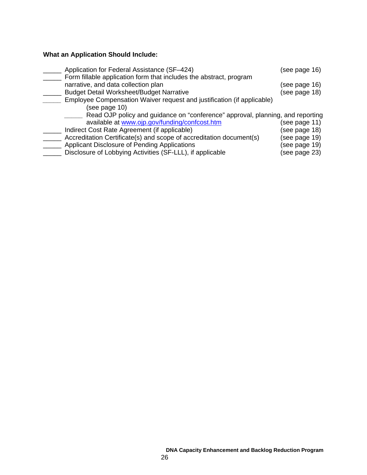# **What an Application Should Include:**

| Application for Federal Assistance (SF-424)                                                               | (see page 16) |
|-----------------------------------------------------------------------------------------------------------|---------------|
| Form fillable application form that includes the abstract, program<br>narrative, and data collection plan | (see page 16) |
| <b>Budget Detail Worksheet/Budget Narrative</b>                                                           | (see page 18) |
| Employee Compensation Waiver request and justification (if applicable)                                    |               |
| (see page 10)                                                                                             |               |
| Read OJP policy and guidance on "conference" approval, planning, and reporting                            |               |
| available at www.ojp.gov/funding/confcost.htm                                                             | (see page 11) |
| Indirect Cost Rate Agreement (if applicable)                                                              | (see page 18) |
| Accreditation Certificate(s) and scope of accreditation document(s)                                       | (see page 19) |
| Applicant Disclosure of Pending Applications                                                              | (see page 19) |
| Disclosure of Lobbying Activities (SF-LLL), if applicable                                                 | (see page 23) |